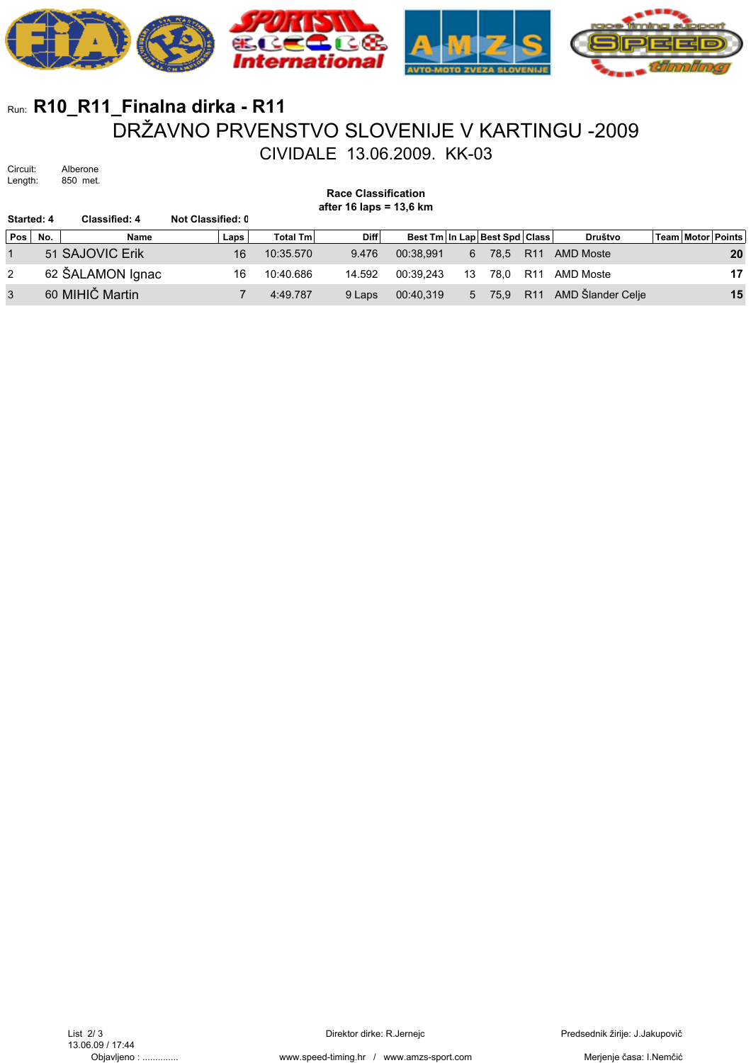

## Run: **R10\_R11\_Finalna dirka - R11** DRŽAVNO PRVENSTVO SLOVENIJE V KARTINGU -2009 CIVIDALE 13.06.2009. KK-03

Circuit: Alberone<br>Length: 850 met. 850 met.

**Race Classification**

**after 16 laps = 13,6 km**

| Started: 4 |     | Classified: 4    | Not Classified: 0 |                 |             |           |    |                               |                 |                       |  |                   |
|------------|-----|------------------|-------------------|-----------------|-------------|-----------|----|-------------------------------|-----------------|-----------------------|--|-------------------|
| Pos        | No. | Name             | Laps              | <b>Total Tm</b> | <b>Diff</b> |           |    | Best Tm In Lap Best Spd Class |                 | Društvo               |  | Team Motor Points |
|            |     | 51 SAJOVIC Erik  | 16                | 10:35.570       | 9.476       | 00.38.991 | 6  | 78.5                          | R <sub>11</sub> | AMD Moste             |  | 20                |
| 2          |     | 62 ŠALAMON Ignac | 16                | 10:40.686       | 14.592      | 00:39.243 | 13 | 78.0                          | R <sub>11</sub> | AMD Moste             |  | 17                |
| 3          |     | 60 MIHIČ Martin  |                   | 4:49.787        | 9 Laps      | 00:40.319 | 5  | 75.9                          |                 | R11 AMD Šlander Celje |  | 15                |